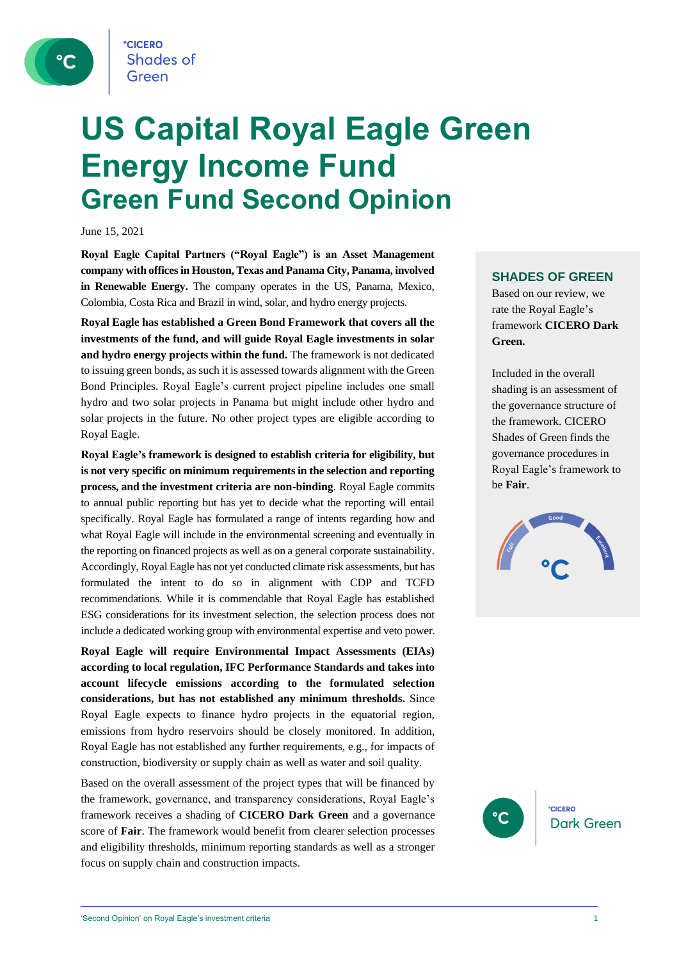**CICERO Shades of** Green

# **US Capital Royal Eagle Green Energy Income Fund Green Fund Second Opinion**

June 15, 2021

**Royal Eagle Capital Partners ("Royal Eagle") is an Asset Management company with offices in Houston, Texas and Panama City, Panama, involved in Renewable Energy.** The company operates in the US, Panama, Mexico, Colombia, Costa Rica and Brazil in wind, solar, and hydro energy projects.

**Royal Eagle has established a Green Bond Framework that covers all the investments of the fund, and will guide Royal Eagle investments in solar and hydro energy projects within the fund.** The framework is not dedicated to issuing green bonds, as such it is assessed towards alignment with the Green Bond Principles. Royal Eagle's current project pipeline includes one small hydro and two solar projects in Panama but might include other hydro and solar projects in the future. No other project types are eligible according to Royal Eagle.

**Royal Eagle's framework is designed to establish criteria for eligibility, but is not very specific on minimum requirements in the selection and reporting process, and the investment criteria are non-binding**. Royal Eagle commits to annual public reporting but has yet to decide what the reporting will entail specifically. Royal Eagle has formulated a range of intents regarding how and what Royal Eagle will include in the environmental screening and eventually in the reporting on financed projects as well as on a general corporate sustainability. Accordingly, Royal Eagle has not yet conducted climate risk assessments, but has formulated the intent to do so in alignment with CDP and TCFD recommendations. While it is commendable that Royal Eagle has established ESG considerations for its investment selection, the selection process does not include a dedicated working group with environmental expertise and veto power.

**Royal Eagle will require Environmental Impact Assessments (EIAs) according to local regulation, IFC Performance Standards and takes into account lifecycle emissions according to the formulated selection considerations, but has not established any minimum thresholds.** Since Royal Eagle expects to finance hydro projects in the equatorial region, emissions from hydro reservoirs should be closely monitored. In addition, Royal Eagle has not established any further requirements, e.g., for impacts of construction, biodiversity or supply chain as well as water and soil quality.

Based on the overall assessment of the project types that will be financed by the framework, governance, and transparency considerations, Royal Eagle's framework receives a shading of **CICERO Dark Green** and a governance score of **Fair**. The framework would benefit from clearer selection processes and eligibility thresholds, minimum reporting standards as well as a stronger focus on supply chain and construction impacts.

### **SHADES OF GREEN**

Based on our review, we rate the Royal Eagle's framework **CICERO Dark Green.** 

Included in the overall shading is an assessment of the governance structure of the framework. CICERO Shades of Green finds the governance procedures in Royal Eagle's framework to be **Fair**.



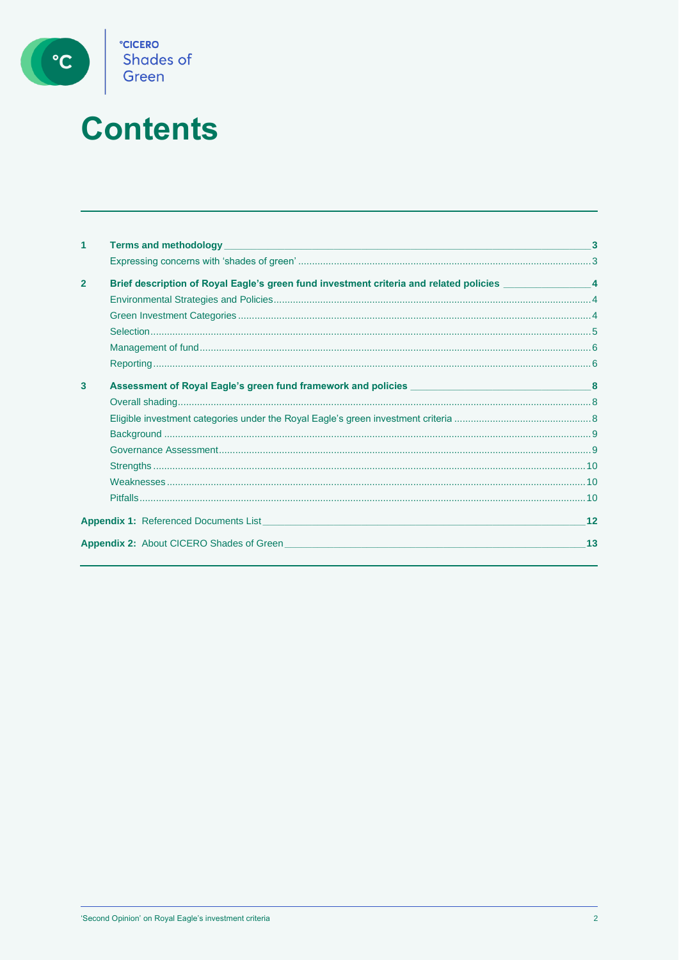

# **Contents**

| 1              |                                                                                                           |    |
|----------------|-----------------------------------------------------------------------------------------------------------|----|
|                |                                                                                                           |    |
| $\overline{2}$ | Brief description of Royal Eagle's green fund investment criteria and related policies _________________4 |    |
|                |                                                                                                           |    |
|                |                                                                                                           |    |
|                |                                                                                                           |    |
|                |                                                                                                           |    |
|                |                                                                                                           |    |
| 3              |                                                                                                           |    |
|                |                                                                                                           |    |
|                |                                                                                                           |    |
|                |                                                                                                           |    |
|                |                                                                                                           |    |
|                |                                                                                                           |    |
|                |                                                                                                           |    |
|                |                                                                                                           |    |
|                | <b>Appendix 1:</b> Referenced Documents List <b>Appendix 1:</b> Referenced Documents List                 | 12 |
|                | <b>Appendix 2:</b> About CICERO Shades of Green                                                           | 13 |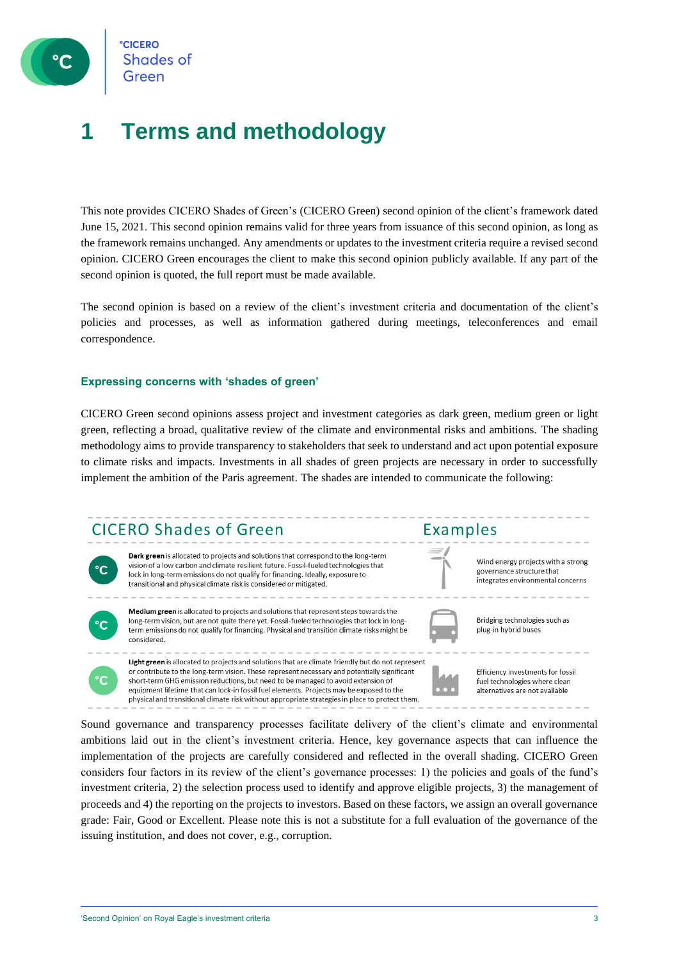

**CICERO Shades of** Green

### **1 Terms and methodology**

This note provides CICERO Shades of Green's (CICERO Green) second opinion of the client's framework dated June 15, 2021. This second opinion remains valid for three years from issuance of this second opinion, as long as the framework remains unchanged. Any amendments or updates to the investment criteria require a revised second opinion. CICERO Green encourages the client to make this second opinion publicly available. If any part of the second opinion is quoted, the full report must be made available.

The second opinion is based on a review of the client's investment criteria and documentation of the client's policies and processes, as well as information gathered during meetings, teleconferences and email correspondence.

### **Expressing concerns with 'shades of green'**

CICERO Green second opinions assess project and investment categories as dark green, medium green or light green, reflecting a broad, qualitative review of the climate and environmental risks and ambitions. The shading methodology aims to provide transparency to stakeholders that seek to understand and act upon potential exposure to climate risks and impacts. Investments in all shades of green projects are necessary in order to successfully implement the ambition of the Paris agreement. The shades are intended to communicate the following:

### **CICERO Shades of Green**



Dark green is allocated to projects and solutions that correspond to the long-term vision of a low carbon and climate resilient future. Fossil-fueled technologies that lock in long-term emissions do not qualify for financing. Ideally, exposure to transitional and physical climate risk is considered or mitigated.



Medium green is allocated to projects and solutions that represent steps towards the long-term vision, but are not quite there yet. Fossil-fueled technologies that lock in long term emissions do not qualify for financing. Physical and transition climate risks might be considered.

Light green is allocated to projects and solutions that are climate friendly but do not represent or contribute to the long-term vision. These represent necessary and potentially significant short-term GHG emission reductions, but need to be managed to avoid extension of equipment lifetime that can lock-in fossil fuel elements. Projects may be exposed to the physical and transitional climate risk without appropriate strategies in place to protect them.



Examples

Wind energy projects with a strong governance structure that integrates environmental concerns

Bridging technologies such as plug-in hybrid buses

Efficiency investments for fossil fuel technologies where clean alternatives are not available

Sound governance and transparency processes facilitate delivery of the client's climate and environmental ambitions laid out in the client's investment criteria. Hence, key governance aspects that can influence the implementation of the projects are carefully considered and reflected in the overall shading. CICERO Green considers four factors in its review of the client's governance processes: 1) the policies and goals of the fund's investment criteria, 2) the selection process used to identify and approve eligible projects, 3) the management of proceeds and 4) the reporting on the projects to investors. Based on these factors, we assign an overall governance grade: Fair, Good or Excellent. Please note this is not a substitute for a full evaluation of the governance of the issuing institution, and does not cover, e.g., corruption.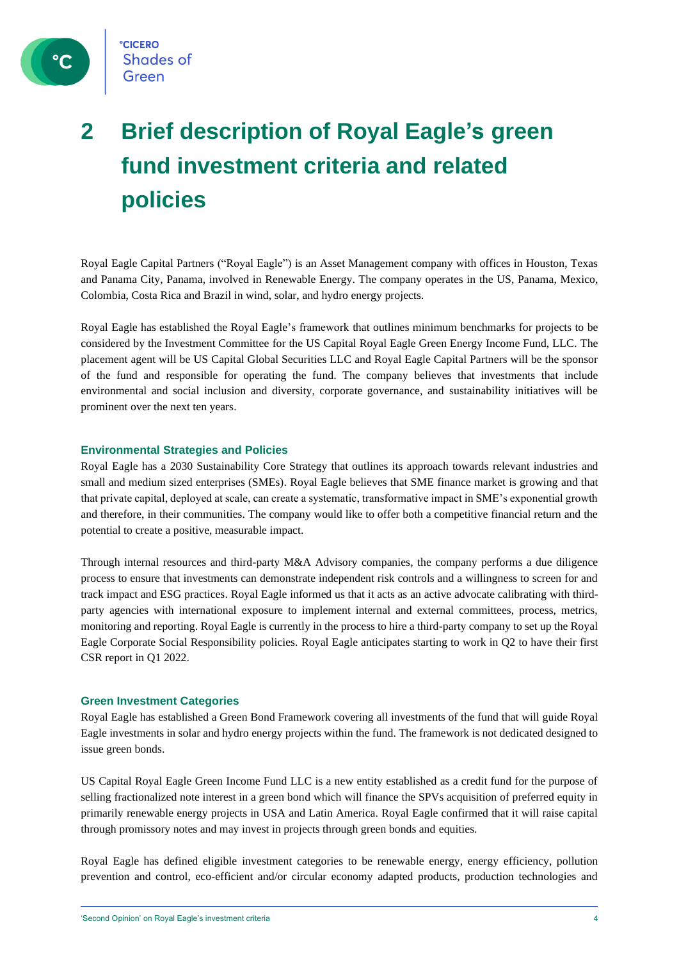

## **2 Brief description of Royal Eagle's green fund investment criteria and related policies**

Royal Eagle Capital Partners ("Royal Eagle") is an Asset Management company with offices in Houston, Texas and Panama City, Panama, involved in Renewable Energy. The company operates in the US, Panama, Mexico, Colombia, Costa Rica and Brazil in wind, solar, and hydro energy projects.

Royal Eagle has established the Royal Eagle's framework that outlines minimum benchmarks for projects to be considered by the Investment Committee for the US Capital Royal Eagle Green Energy Income Fund, LLC. The placement agent will be US Capital Global Securities LLC and Royal Eagle Capital Partners will be the sponsor of the fund and responsible for operating the fund. The company believes that investments that include environmental and social inclusion and diversity, corporate governance, and sustainability initiatives will be prominent over the next ten years.

### **Environmental Strategies and Policies**

Royal Eagle has a 2030 Sustainability Core Strategy that outlines its approach towards relevant industries and small and medium sized enterprises (SMEs). Royal Eagle believes that SME finance market is growing and that that private capital, deployed at scale, can create a systematic, transformative impact in SME's exponential growth and therefore, in their communities. The company would like to offer both a competitive financial return and the potential to create a positive, measurable impact.

Through internal resources and third-party M&A Advisory companies, the company performs a due diligence process to ensure that investments can demonstrate independent risk controls and a willingness to screen for and track impact and ESG practices. Royal Eagle informed us that it acts as an active advocate calibrating with thirdparty agencies with international exposure to implement internal and external committees, process, metrics, monitoring and reporting. Royal Eagle is currently in the process to hire a third-party company to set up the Royal Eagle Corporate Social Responsibility policies. Royal Eagle anticipates starting to work in Q2 to have their first CSR report in Q1 2022.

### **Green Investment Categories**

Royal Eagle has established a Green Bond Framework covering all investments of the fund that will guide Royal Eagle investments in solar and hydro energy projects within the fund. The framework is not dedicated designed to issue green bonds.

US Capital Royal Eagle Green Income Fund LLC is a new entity established as a credit fund for the purpose of selling fractionalized note interest in a green bond which will finance the SPVs acquisition of preferred equity in primarily renewable energy projects in USA and Latin America. Royal Eagle confirmed that it will raise capital through promissory notes and may invest in projects through green bonds and equities.

Royal Eagle has defined eligible investment categories to be renewable energy, energy efficiency, pollution prevention and control, eco-efficient and/or circular economy adapted products, production technologies and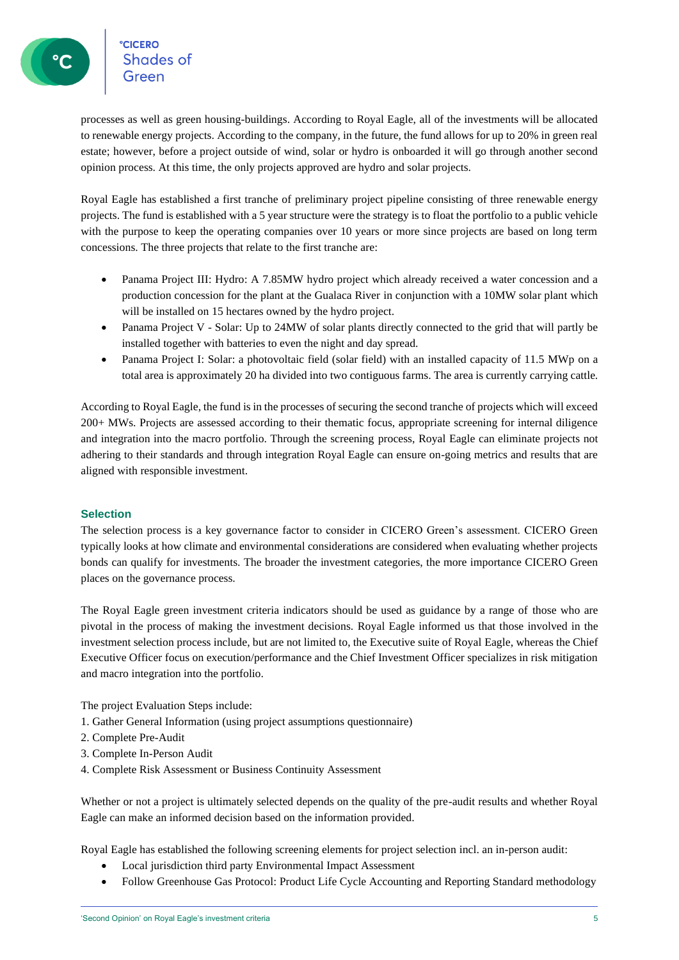**CICERO**<br>Shades of **CICERO** 

processes as well as green housing-buildings. According to Royal Eagle, all of the investments will be allocated to renewable energy projects. According to the company, in the future, the fund allows for up to 20% in green real estate; however, before a project outside of wind, solar or hydro is onboarded it will go through another second opinion process. At this time, the only projects approved are hydro and solar projects.

Royal Eagle has established a first tranche of preliminary project pipeline consisting of three renewable energy projects. The fund is established with a 5 year structure were the strategy is to float the portfolio to a public vehicle with the purpose to keep the operating companies over 10 years or more since projects are based on long term concessions. The three projects that relate to the first tranche are:

- Panama Project III: Hydro: A 7.85MW hydro project which already received a water concession and a production concession for the plant at the Gualaca River in conjunction with a 10MW solar plant which will be installed on 15 hectares owned by the hydro project.
- Panama Project V Solar: Up to 24MW of solar plants directly connected to the grid that will partly be installed together with batteries to even the night and day spread.
- Panama Project I: Solar: a photovoltaic field (solar field) with an installed capacity of 11.5 MWp on a total area is approximately 20 ha divided into two contiguous farms. The area is currently carrying cattle.

According to Royal Eagle, the fund is in the processes of securing the second tranche of projects which will exceed 200+ MWs. Projects are assessed according to their thematic focus, appropriate screening for internal diligence and integration into the macro portfolio. Through the screening process, Royal Eagle can eliminate projects not adhering to their standards and through integration Royal Eagle can ensure on-going metrics and results that are aligned with responsible investment.

### **Selection**

The selection process is a key governance factor to consider in CICERO Green's assessment. CICERO Green typically looks at how climate and environmental considerations are considered when evaluating whether projects bonds can qualify for investments. The broader the investment categories, the more importance CICERO Green places on the governance process.

The Royal Eagle green investment criteria indicators should be used as guidance by a range of those who are pivotal in the process of making the investment decisions. Royal Eagle informed us that those involved in the investment selection process include, but are not limited to, the Executive suite of Royal Eagle, whereas the Chief Executive Officer focus on execution/performance and the Chief Investment Officer specializes in risk mitigation and macro integration into the portfolio.

The project Evaluation Steps include:

- 1. Gather General Information (using project assumptions questionnaire)
- 2. Complete Pre-Audit
- 3. Complete In-Person Audit
- 4. Complete Risk Assessment or Business Continuity Assessment

Whether or not a project is ultimately selected depends on the quality of the pre-audit results and whether Royal Eagle can make an informed decision based on the information provided.

Royal Eagle has established the following screening elements for project selection incl. an in-person audit:

- Local jurisdiction third party Environmental Impact Assessment
- Follow Greenhouse Gas Protocol: Product Life Cycle Accounting and Reporting Standard methodology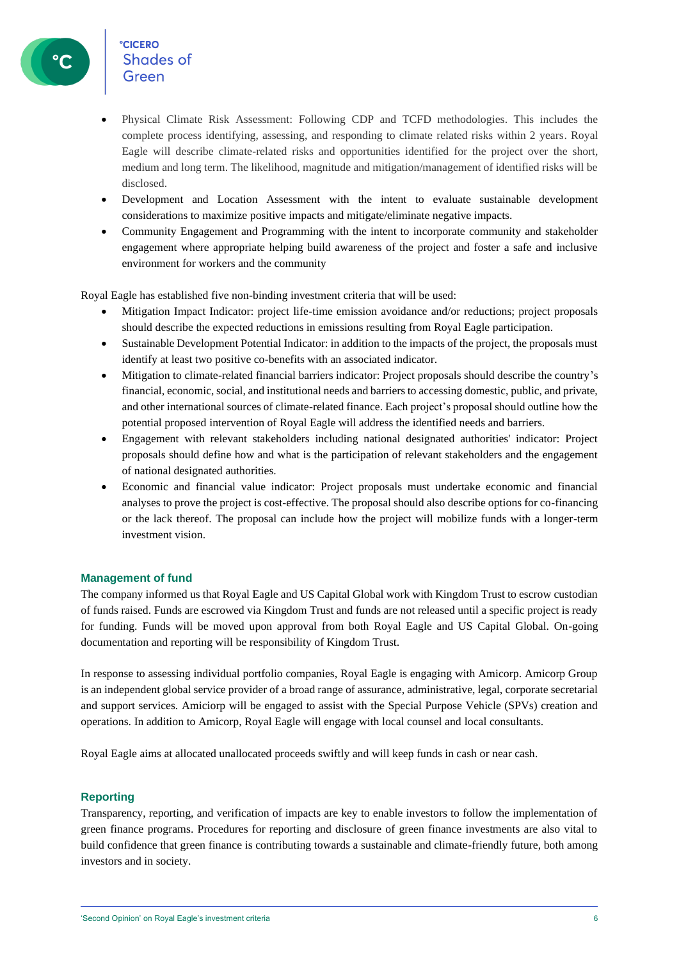### **CICERO** Shades of Green

- Physical Climate Risk Assessment: Following CDP and TCFD methodologies. This includes the complete process identifying, assessing, and responding to climate related risks within 2 years. Royal Eagle will describe climate-related risks and opportunities identified for the project over the short, medium and long term. The likelihood, magnitude and mitigation/management of identified risks will be disclosed.
- Development and Location Assessment with the intent to evaluate sustainable development considerations to maximize positive impacts and mitigate/eliminate negative impacts.
- Community Engagement and Programming with the intent to incorporate community and stakeholder engagement where appropriate helping build awareness of the project and foster a safe and inclusive environment for workers and the community

Royal Eagle has established five non-binding investment criteria that will be used:

- Mitigation Impact Indicator: project life-time emission avoidance and/or reductions; project proposals should describe the expected reductions in emissions resulting from Royal Eagle participation.
- Sustainable Development Potential Indicator: in addition to the impacts of the project, the proposals must identify at least two positive co-benefits with an associated indicator.
- Mitigation to climate-related financial barriers indicator: Project proposals should describe the country's financial, economic, social, and institutional needs and barriers to accessing domestic, public, and private, and other international sources of climate-related finance. Each project's proposal should outline how the potential proposed intervention of Royal Eagle will address the identified needs and barriers.
- Engagement with relevant stakeholders including national designated authorities' indicator: Project proposals should define how and what is the participation of relevant stakeholders and the engagement of national designated authorities.
- Economic and financial value indicator: Project proposals must undertake economic and financial analyses to prove the project is cost-effective. The proposal should also describe options for co-financing or the lack thereof. The proposal can include how the project will mobilize funds with a longer-term investment vision.

### **Management of fund**

The company informed us that Royal Eagle and US Capital Global work with Kingdom Trust to escrow custodian of funds raised. Funds are escrowed via Kingdom Trust and funds are not released until a specific project is ready for funding. Funds will be moved upon approval from both Royal Eagle and US Capital Global. On-going documentation and reporting will be responsibility of Kingdom Trust.

In response to assessing individual portfolio companies, Royal Eagle is engaging with Amicorp. Amicorp Group is an independent global service provider of a broad range of assurance, administrative, legal, corporate secretarial and support services. Amiciorp will be engaged to assist with the Special Purpose Vehicle (SPVs) creation and operations. In addition to Amicorp, Royal Eagle will engage with local counsel and local consultants.

Royal Eagle aims at allocated unallocated proceeds swiftly and will keep funds in cash or near cash.

### **Reporting**

Transparency, reporting, and verification of impacts are key to enable investors to follow the implementation of green finance programs. Procedures for reporting and disclosure of green finance investments are also vital to build confidence that green finance is contributing towards a sustainable and climate-friendly future, both among investors and in society.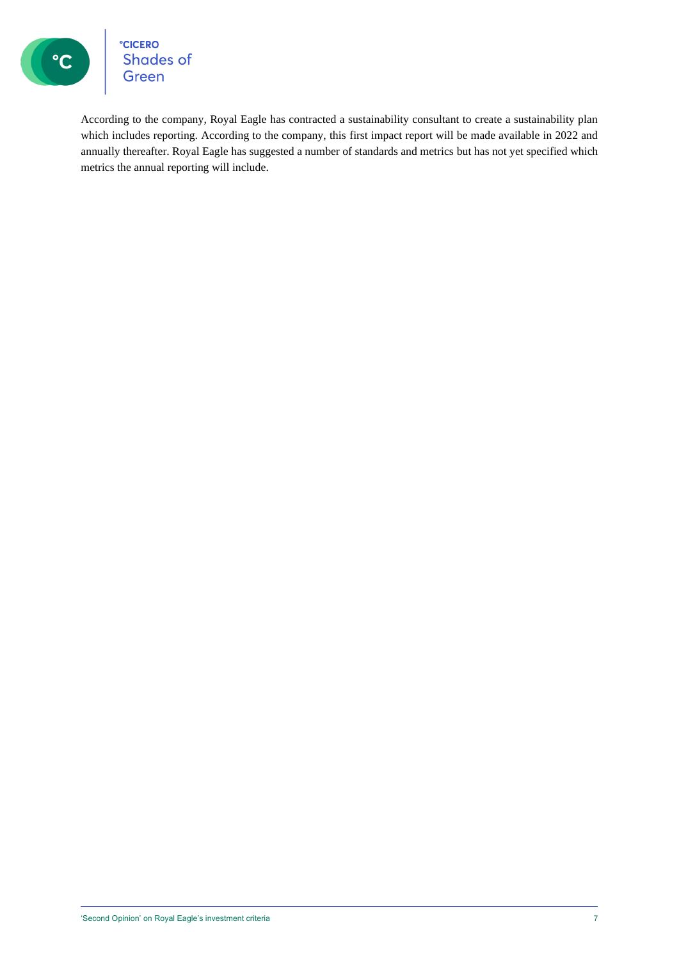

°cicero<br>Shades of<br>Green

According to the company, Royal Eagle has contracted a sustainability consultant to create a sustainability plan which includes reporting. According to the company, this first impact report will be made available in 2022 and annually thereafter. Royal Eagle has suggested a number of standards and metrics but has not yet specified which metrics the annual reporting will include.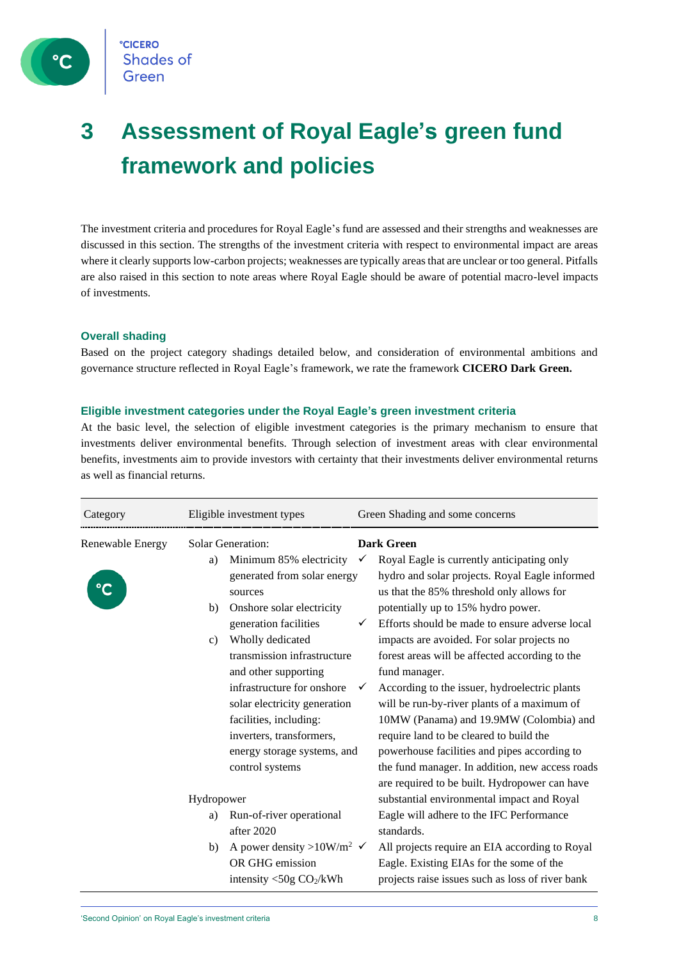

## **3 Assessment of Royal Eagle's green fund framework and policies**

The investment criteria and procedures for Royal Eagle's fund are assessed and their strengths and weaknesses are discussed in this section. The strengths of the investment criteria with respect to environmental impact are areas where it clearly supports low-carbon projects; weaknesses are typically areas that are unclear or too general. Pitfalls are also raised in this section to note areas where Royal Eagle should be aware of potential macro-level impacts of investments.

### **Overall shading**

Based on the project category shadings detailed below, and consideration of environmental ambitions and governance structure reflected in Royal Eagle's framework, we rate the framework **CICERO Dark Green.**

### **Eligible investment categories under the Royal Eagle's green investment criteria**

At the basic level, the selection of eligible investment categories is the primary mechanism to ensure that investments deliver environmental benefits. Through selection of investment areas with clear environmental benefits, investments aim to provide investors with certainty that their investments deliver environmental returns as well as financial returns.

| Category         | Eligible investment types                                                                                                                                                                                                                                                                                                                                                                                              | Green Shading and some concerns                                                                                                                                                                                                                                                                                                                                                                                                                                                                                                                                                                                                                                                                                                        |
|------------------|------------------------------------------------------------------------------------------------------------------------------------------------------------------------------------------------------------------------------------------------------------------------------------------------------------------------------------------------------------------------------------------------------------------------|----------------------------------------------------------------------------------------------------------------------------------------------------------------------------------------------------------------------------------------------------------------------------------------------------------------------------------------------------------------------------------------------------------------------------------------------------------------------------------------------------------------------------------------------------------------------------------------------------------------------------------------------------------------------------------------------------------------------------------------|
| Renewable Energy | <b>Solar Generation:</b><br>Minimum 85% electricity<br>a)<br>generated from solar energy<br>sources<br>Onshore solar electricity<br>b)<br>generation facilities<br>Wholly dedicated<br>c)<br>transmission infrastructure<br>and other supporting<br>infrastructure for onshore<br>solar electricity generation<br>facilities, including:<br>inverters, transformers,<br>energy storage systems, and<br>control systems | <b>Dark Green</b><br>Royal Eagle is currently anticipating only<br>$\checkmark$<br>hydro and solar projects. Royal Eagle informed<br>us that the 85% threshold only allows for<br>potentially up to 15% hydro power.<br>Efforts should be made to ensure adverse local<br>✓<br>impacts are avoided. For solar projects no<br>forest areas will be affected according to the<br>fund manager.<br>According to the issuer, hydroelectric plants<br>will be run-by-river plants of a maximum of<br>10MW (Panama) and 19.9MW (Colombia) and<br>require land to be cleared to build the<br>powerhouse facilities and pipes according to<br>the fund manager. In addition, new access roads<br>are required to be built. Hydropower can have |
|                  | Hydropower<br>Run-of-river operational<br>a)<br>after 2020<br>A power density >10W/m <sup>2</sup> $\checkmark$<br>b)<br>OR GHG emission<br>intensity $<$ 50g CO <sub>2</sub> /kWh                                                                                                                                                                                                                                      | substantial environmental impact and Royal<br>Eagle will adhere to the IFC Performance<br>standards.<br>All projects require an EIA according to Royal<br>Eagle. Existing EIAs for the some of the<br>projects raise issues such as loss of river bank                                                                                                                                                                                                                                                                                                                                                                                                                                                                                 |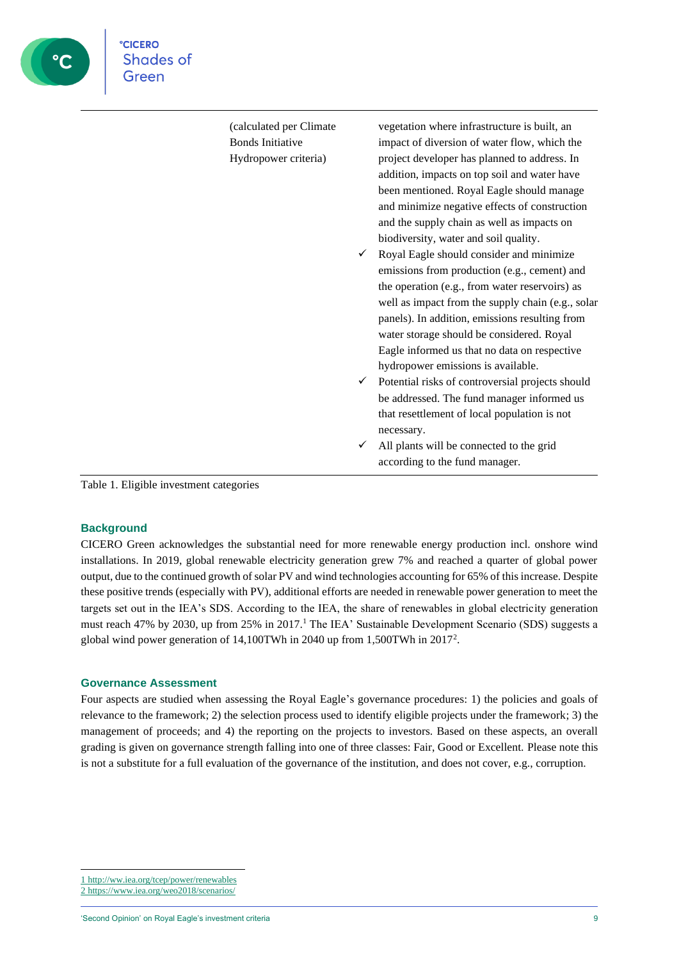| (calculated per Climate | vegetation where infrastructure is built, an                                           |  |
|-------------------------|----------------------------------------------------------------------------------------|--|
| <b>Bonds Initiative</b> | impact of diversion of water flow, which the                                           |  |
| Hydropower criteria)    | project developer has planned to address. In                                           |  |
|                         | addition, impacts on top soil and water have                                           |  |
|                         | been mentioned. Royal Eagle should manage                                              |  |
|                         | and minimize negative effects of construction                                          |  |
|                         | and the supply chain as well as impacts on                                             |  |
|                         | biodiversity, water and soil quality.<br>Royal Eagle should consider and minimize<br>✓ |  |
|                         | emissions from production (e.g., cement) and                                           |  |
|                         | the operation (e.g., from water reservoirs) as                                         |  |
|                         | well as impact from the supply chain (e.g., solar                                      |  |
|                         | panels). In addition, emissions resulting from                                         |  |
|                         | water storage should be considered. Royal                                              |  |
|                         | Eagle informed us that no data on respective                                           |  |
|                         | hydropower emissions is available.                                                     |  |
|                         | Potential risks of controversial projects should<br>✓                                  |  |
|                         | be addressed. The fund manager informed us                                             |  |
|                         | that resettlement of local population is not                                           |  |
|                         | necessary.                                                                             |  |
|                         | All plants will be connected to the grid<br>✓                                          |  |
|                         | according to the fund manager.                                                         |  |

Table 1. Eligible investment categories

**CICERO** 

Shades of

ြိုင

#### **Background**

CICERO Green acknowledges the substantial need for more renewable energy production incl. onshore wind installations. In 2019, global renewable electricity generation grew 7% and reached a quarter of global power output, due to the continued growth of solar PV and wind technologies accounting for 65% of this increase. Despite these positive trends (especially with PV), additional efforts are needed in renewable power generation to meet the targets set out in the IEA's SDS. According to the IEA, the share of renewables in global electricity generation must reach 47% by 2030, up from 25% in 2017.<sup>1</sup> The IEA' Sustainable Development Scenario (SDS) suggests a global wind power generation of 14,100TWh in 2040 up from 1,500TWh in 2017<sup>2</sup>.

#### **Governance Assessment**

Four aspects are studied when assessing the Royal Eagle's governance procedures: 1) the policies and goals of relevance to the framework; 2) the selection process used to identify eligible projects under the framework; 3) the management of proceeds; and 4) the reporting on the projects to investors. Based on these aspects, an overall grading is given on governance strength falling into one of three classes: Fair, Good or Excellent. Please note this is not a substitute for a full evaluation of the governance of the institution, and does not cover, e.g., corruption.

2 <https://www.iea.org/weo2018/scenarios/>

<sup>1</sup> <http://ww.iea.org/tcep/power/renewables>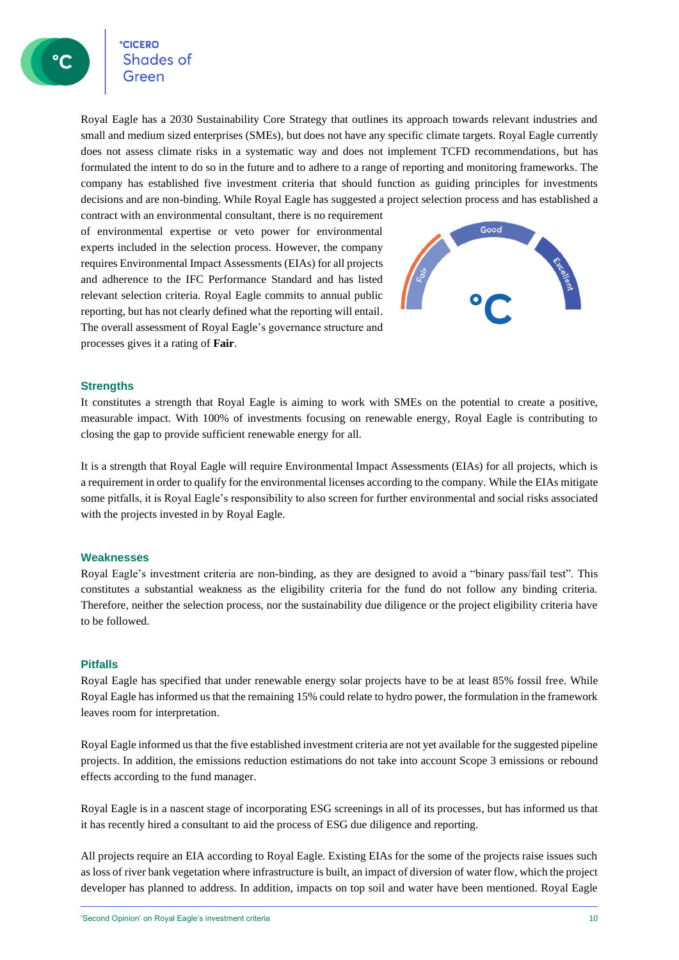**CICERO Shades of** 

Royal Eagle has a 2030 Sustainability Core Strategy that outlines its approach towards relevant industries and small and medium sized enterprises (SMEs), but does not have any specific climate targets. Royal Eagle currently does not assess climate risks in a systematic way and does not implement TCFD recommendations, but has formulated the intent to do so in the future and to adhere to a range of reporting and monitoring frameworks. The company has established five investment criteria that should function as guiding principles for investments decisions and are non-binding. While Royal Eagle has suggested a project selection process and has established a

contract with an environmental consultant, there is no requirement of environmental expertise or veto power for environmental experts included in the selection process. However, the company requires Environmental Impact Assessments (EIAs) for all projects and adherence to the IFC Performance Standard and has listed relevant selection criteria. Royal Eagle commits to annual public reporting, but has not clearly defined what the reporting will entail. The overall assessment of Royal Eagle's governance structure and processes gives it a rating of **Fair**.



### **Strengths**

It constitutes a strength that Royal Eagle is aiming to work with SMEs on the potential to create a positive, measurable impact. With 100% of investments focusing on renewable energy, Royal Eagle is contributing to closing the gap to provide sufficient renewable energy for all.

It is a strength that Royal Eagle will require Environmental Impact Assessments (EIAs) for all projects, which is a requirement in order to qualify for the environmental licenses according to the company. While the EIAs mitigate some pitfalls, it is Royal Eagle's responsibility to also screen for further environmental and social risks associated with the projects invested in by Royal Eagle.

### **Weaknesses**

Royal Eagle's investment criteria are non-binding, as they are designed to avoid a "binary pass/fail test". This constitutes a substantial weakness as the eligibility criteria for the fund do not follow any binding criteria. Therefore, neither the selection process, nor the sustainability due diligence or the project eligibility criteria have to be followed.

### **Pitfalls**

Royal Eagle has specified that under renewable energy solar projects have to be at least 85% fossil free. While Royal Eagle has informed us that the remaining 15% could relate to hydro power, the formulation in the framework leaves room for interpretation.

Royal Eagle informed us that the five established investment criteria are not yet available for the suggested pipeline projects. In addition, the emissions reduction estimations do not take into account Scope 3 emissions or rebound effects according to the fund manager.

Royal Eagle is in a nascent stage of incorporating ESG screenings in all of its processes, but has informed us that it has recently hired a consultant to aid the process of ESG due diligence and reporting.

All projects require an EIA according to Royal Eagle. Existing EIAs for the some of the projects raise issues such as loss of river bank vegetation where infrastructure is built, an impact of diversion of water flow, which the project developer has planned to address. In addition, impacts on top soil and water have been mentioned. Royal Eagle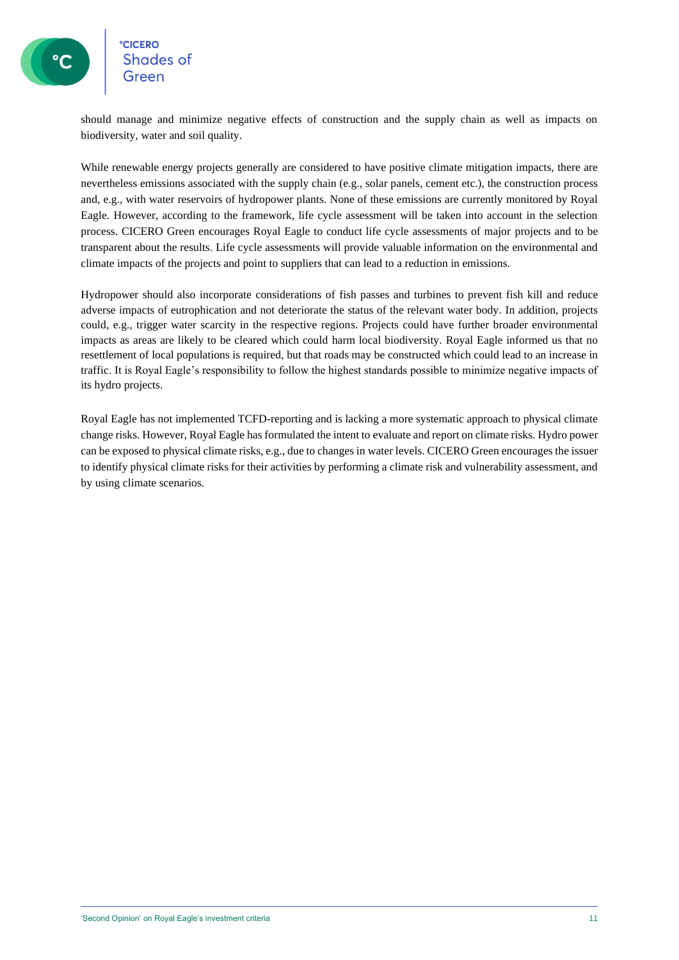### **CICERO Shades of**

should manage and minimize negative effects of construction and the supply chain as well as impacts on biodiversity, water and soil quality.

While renewable energy projects generally are considered to have positive climate mitigation impacts, there are nevertheless emissions associated with the supply chain (e.g., solar panels, cement etc.), the construction process and, e.g., with water reservoirs of hydropower plants. None of these emissions are currently monitored by Royal Eagle. However, according to the framework, life cycle assessment will be taken into account in the selection process. CICERO Green encourages Royal Eagle to conduct life cycle assessments of major projects and to be transparent about the results. Life cycle assessments will provide valuable information on the environmental and climate impacts of the projects and point to suppliers that can lead to a reduction in emissions.

Hydropower should also incorporate considerations of fish passes and turbines to prevent fish kill and reduce adverse impacts of eutrophication and not deteriorate the status of the relevant water body. In addition, projects could, e.g., trigger water scarcity in the respective regions. Projects could have further broader environmental impacts as areas are likely to be cleared which could harm local biodiversity. Royal Eagle informed us that no resettlement of local populations is required, but that roads may be constructed which could lead to an increase in traffic. It is Royal Eagle's responsibility to follow the highest standards possible to minimize negative impacts of its hydro projects.

Royal Eagle has not implemented TCFD-reporting and is lacking a more systematic approach to physical climate change risks. However, Royal Eagle has formulated the intent to evaluate and report on climate risks. Hydro power can be exposed to physical climate risks, e.g., due to changes in water levels. CICERO Green encourages the issuer to identify physical climate risks for their activities by performing a climate risk and vulnerability assessment, and by using climate scenarios.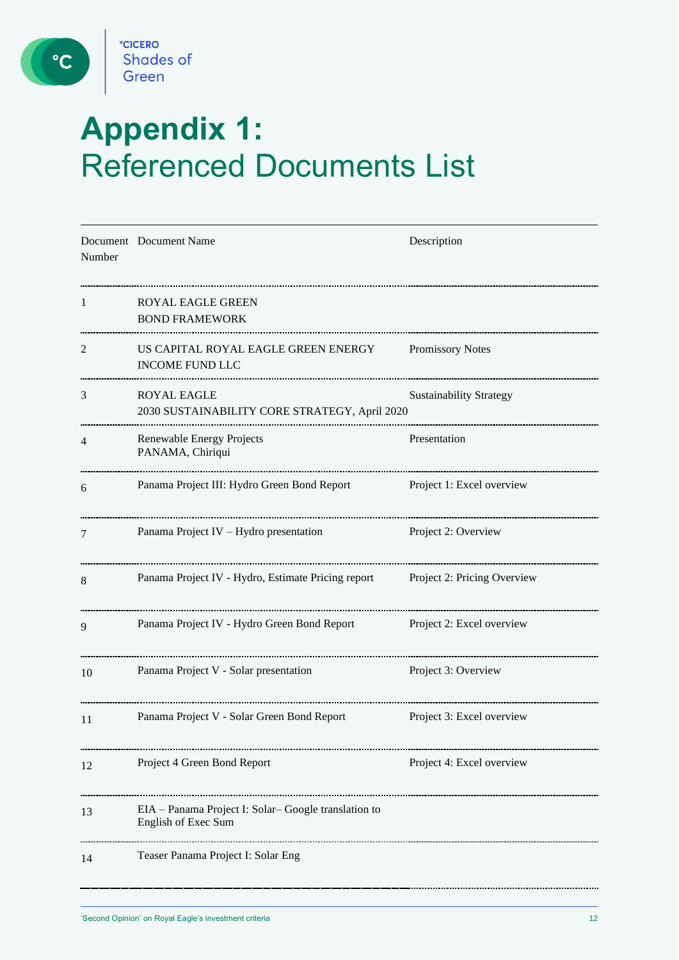

 $\circ$ 

# **Appendix 1:**  Referenced Documents List

| Number | Document Document Name                                                     | Description                    |
|--------|----------------------------------------------------------------------------|--------------------------------|
| 1      | <b>ROYAL EAGLE GREEN</b><br><b>BOND FRAMEWORK</b>                          |                                |
| 2      | US CAPITAL ROYAL EAGLE GREEN ENERGY<br><b>INCOME FUND LLC</b>              | Promissory Notes               |
| 3      | ROYAL EAGLE<br>2030 SUSTAINABILITY CORE STRATEGY, April 2020               | <b>Sustainability Strategy</b> |
| 4      | Renewable Energy Projects<br>PANAMA, Chiriqui                              | Presentation                   |
| 6      | Panama Project III: Hydro Green Bond Report                                | Project 1: Excel overview      |
| 7      | Panama Project IV - Hydro presentation                                     | Project 2: Overview            |
| 8      | Panama Project IV - Hydro, Estimate Pricing report                         | Project 2: Pricing Overview    |
| 9      | Panama Project IV - Hydro Green Bond Report                                | Project 2: Excel overview      |
| 10     | Panama Project V - Solar presentation                                      | Project 3: Overview            |
| 11     | Panama Project V - Solar Green Bond Report                                 | Project 3: Excel overview      |
| 12     | Project 4 Green Bond Report                                                | Project 4: Excel overview      |
| 13     | EIA - Panama Project I: Solar-Google translation to<br>English of Exec Sum |                                |
| 14     | Teaser Panama Project I: Solar Eng                                         |                                |
|        |                                                                            |                                |